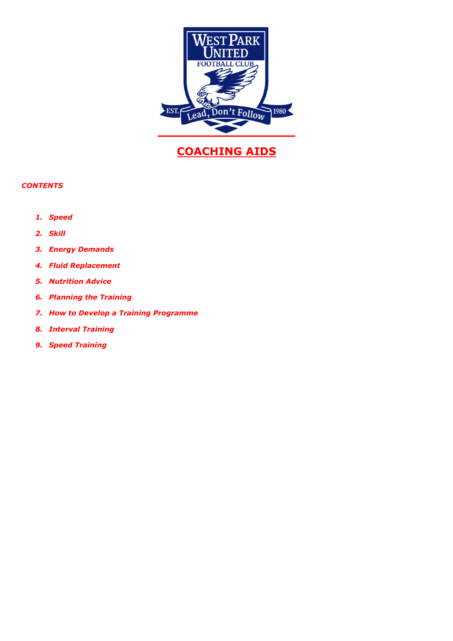

# **COACHING AIDS**

# *CONTENTS*

- *1. Speed*
- *2. Skill*
- *3. Energy Demands*
- *4. Fluid Replacement*
- *5. Nutrition Advice*
- *6. Planning the Training*
- *7. How to Develop a Training Programme*
- *8. Interval Training*
- *9. Speed Training*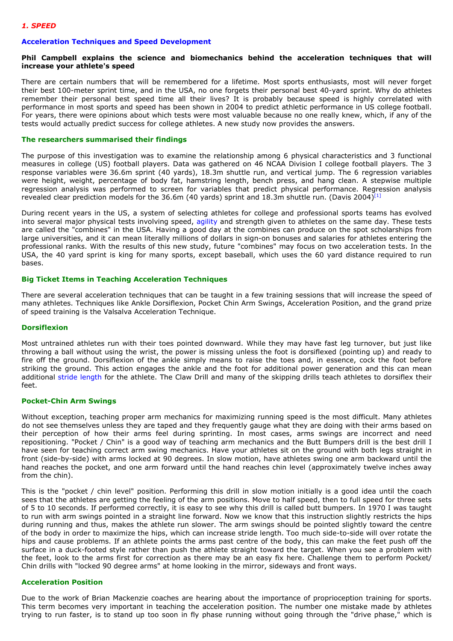## **Acceleration Techniques and Speed Development**

#### **Phil Campbell explains the science and biomechanics behind the acceleration techniques that will increase your athlete's speed**

There are certain numbers that will be remembered for a lifetime. Most sports enthusiasts, most will never forget their best 100-meter sprint time, and in the USA, no one forgets their personal best 40-yard sprint. Why do athletes remember their personal best speed time all their lives? It is probably because speed is highly correlated with performance in most sports and speed has been shown in 2004 to predict athletic performance in US college football. For years, there were opinions about which tests were most valuable because no one really knew, which, if any of the tests would actually predict success for college athletes. A new study now provides the answers.

#### **The researchers summarised their findings**

The purpose of this investigation was to examine the relationship among 6 physical characteristics and 3 functional measures in college (US) football players. Data was gathered on 46 NCAA Division I college football players. The 3 response variables were 36.6m sprint (40 yards), 18.3m shuttle run, and vertical jump. The 6 regression variables were height, weight, percentage of body fat, hamstring length, bench press, and hang clean. A stepwise multiple regression analysis was performed to screen for variables that predict physical performance. Regression analysis revealed clear prediction models for the 36.6m (40 yards) sprint and 18.3m shuttle run. (Davis 2004)<sup>[1]</sup>

During recent years in the US, a system of selecting athletes for college and professional sports teams has evolved into several major physical tests involving speed, agility and strength given to athletes on the same day. These tests are called the "combines" in the USA. Having a good day at the combines can produce on the spot scholarships from large universities, and it can mean literally millions of dollars in sign-on bonuses and salaries for athletes entering the professional ranks. With the results of this new study, future "combines" may focus on two acceleration tests. In the USA, the 40 yard sprint is king for many sports, except baseball, which uses the 60 yard distance required to run bases.

#### **Big Ticket Items in Teaching Acceleration Techniques**

There are several acceleration techniques that can be taught in a few training sessions that will increase the speed of many athletes. Techniques like Ankle Dorsiflexion, Pocket Chin Arm Swings, Acceleration Position, and the grand prize of speed training is the Valsalva Acceleration Technique.

#### **Dorsiflexion**

Most untrained athletes run with their toes pointed downward. While they may have fast leg turnover, but just like throwing a ball without using the wrist, the power is missing unless the foot is dorsiflexed (pointing up) and ready to fire off the ground. Dorsiflexion of the ankle simply means to raise the toes and, in essence, cock the foot before striking the ground. This action engages the ankle and the foot for additional power generation and this can mean additional stride length for the athlete. The Claw Drill and many of the skipping drills teach athletes to dorsiflex their feet.

## **Pocket-Chin Arm Swings**

Without exception, teaching proper arm mechanics for maximizing running speed is the most difficult. Many athletes do not see themselves unless they are taped and they frequently gauge what they are doing with their arms based on their perception of how their arms feel during sprinting. In most cases, arms swings are incorrect and need repositioning. "Pocket / Chin" is a good way of teaching arm mechanics and the Butt Bumpers drill is the best drill I have seen for teaching correct arm swing mechanics. Have your athletes sit on the ground with both legs straight in front (side-by-side) with arms locked at 90 degrees. In slow motion, have athletes swing one arm backward until the hand reaches the pocket, and one arm forward until the hand reaches chin level (approximately twelve inches away from the chin).

This is the "pocket / chin level" position. Performing this drill in slow motion initially is a good idea until the coach sees that the athletes are getting the feeling of the arm positions. Move to half speed, then to full speed for three sets of 5 to 10 seconds. If performed correctly, it is easy to see why this drill is called butt bumpers. In 1970 I was taught to run with arm swings pointed in a straight line forward. Now we know that this instruction slightly restricts the hips during running and thus, makes the athlete run slower. The arm swings should be pointed slightly toward the centre of the body in order to maximize the hips, which can increase stride length. Too much side-to-side will over rotate the hips and cause problems. If an athlete points the arms past centre of the body, this can make the feet push off the surface in a duck-footed style rather than push the athlete straight toward the target. When you see a problem with the feet, look to the arms first for correction as there may be an easy fix here. Challenge them to perform Pocket/ Chin drills with "locked 90 degree arms" at home looking in the mirror, sideways and front ways.

#### **Acceleration Position**

Due to the work of Brian Mackenzie coaches are hearing about the importance of proprioception training for sports. This term becomes very important in teaching the acceleration position. The number one mistake made by athletes trying to run faster, is to stand up too soon in fly phase running without going through the "drive phase," which is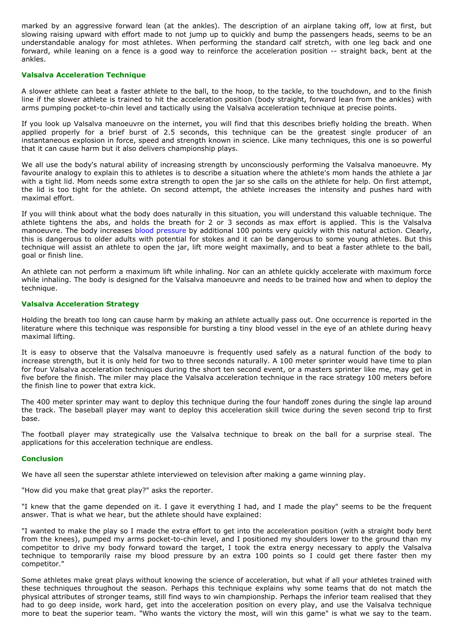marked by an aggressive forward lean (at the ankles). The description of an airplane taking off, low at first, but slowing raising upward with effort made to not jump up to quickly and bump the passengers heads, seems to be an understandable analogy for most athletes. When performing the standard calf stretch, with one leg back and one forward, while leaning on a fence is a good way to reinforce the acceleration position -- straight back, bent at the ankles.

#### **Valsalva Acceleration Technique**

A slower athlete can beat a faster athlete to the ball, to the hoop, to the tackle, to the touchdown, and to the finish line if the slower athlete is trained to hit the acceleration position (body straight, forward lean from the ankles) with arms pumping pocket-to-chin level and tactically using the Valsalva acceleration technique at precise points.

If you look up Valsalva manoeuvre on the internet, you will find that this describes briefly holding the breath. When applied properly for a brief burst of 2.5 seconds, this technique can be the greatest single producer of an instantaneous explosion in force, speed and strength known in science. Like many techniques, this one is so powerful that it can cause harm but it also delivers championship plays.

We all use the body's natural ability of increasing strength by unconsciously performing the Valsalva manoeuvre. My favourite analogy to explain this to athletes is to describe a situation where the athlete's mom hands the athlete a jar with a tight lid. Mom needs some extra strength to open the jar so she calls on the athlete for help. On first attempt, the lid is too tight for the athlete. On second attempt, the athlete increases the intensity and pushes hard with maximal effort.

If you will think about what the body does naturally in this situation, you will understand this valuable technique. The athlete tightens the abs, and holds the breath for 2 or 3 seconds as max effort is applied. This is the Valsalva manoeuvre. The body increases blood pressure by additional 100 points very quickly with this natural action. Clearly, this is dangerous to older adults with potential for stokes and it can be dangerous to some young athletes. But this technique will assist an athlete to open the jar, lift more weight maximally, and to beat a faster athlete to the ball, goal or finish line.

An athlete can not perform a maximum lift while inhaling. Nor can an athlete quickly accelerate with maximum force while inhaling. The body is designed for the Valsalva manoeuvre and needs to be trained how and when to deploy the technique.

## **Valsalva Acceleration Strategy**

Holding the breath too long can cause harm by making an athlete actually pass out. One occurrence is reported in the literature where this technique was responsible for bursting a tiny blood vessel in the eye of an athlete during heavy maximal lifting.

It is easy to observe that the Valsalva manoeuvre is frequently used safely as a natural function of the body to increase strength, but it is only held for two to three seconds naturally. A 100 meter sprinter would have time to plan for four Valsalva acceleration techniques during the short ten second event, or a masters sprinter like me, may get in five before the finish. The miler may place the Valsalva acceleration technique in the race strategy 100 meters before the finish line to power that extra kick.

The 400 meter sprinter may want to deploy this technique during the four handoff zones during the single lap around the track. The baseball player may want to deploy this acceleration skill twice during the seven second trip to first base.

The football player may strategically use the Valsalva technique to break on the ball for a surprise steal. The applications for this acceleration technique are endless.

#### **Conclusion**

We have all seen the superstar athlete interviewed on television after making a game winning play.

"How did you make that great play?" asks the reporter.

"I knew that the game depended on it. I gave it everything I had, and I made the play" seems to be the frequent answer. That is what we hear, but the athlete should have explained:

"I wanted to make the play so I made the extra effort to get into the acceleration position (with a straight body bent from the knees), pumped my arms pocket-to-chin level, and I positioned my shoulders lower to the ground than my competitor to drive my body forward toward the target, I took the extra energy necessary to apply the Valsalva technique to temporarily raise my blood pressure by an extra 100 points so I could get there faster then my competitor."

Some athletes make great plays without knowing the science of acceleration, but what if all your athletes trained with these techniques throughout the season. Perhaps this technique explains why some teams that do not match the physical attributes of stronger teams, still find ways to win championship. Perhaps the inferior team realised that they had to go deep inside, work hard, get into the acceleration position on every play, and use the Valsalva technique more to beat the superior team. "Who wants the victory the most, will win this game" is what we say to the team.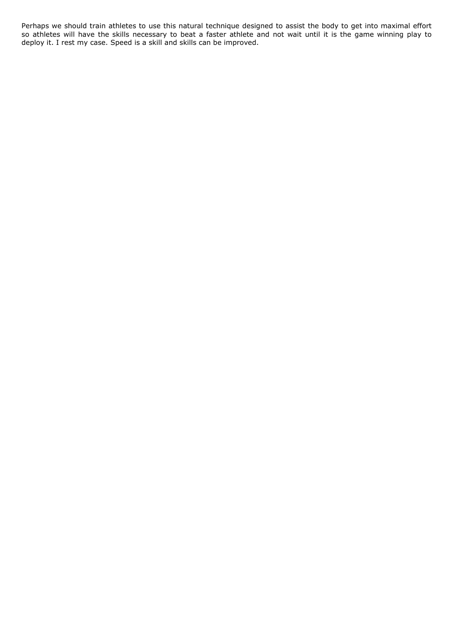Perhaps we should train athletes to use this natural technique designed to assist the body to get into maximal effort so athletes will have the skills necessary to beat a faster athlete and not wait until it is the game winning play to deploy it. I rest my case. Speed is a skill and skills can be improved.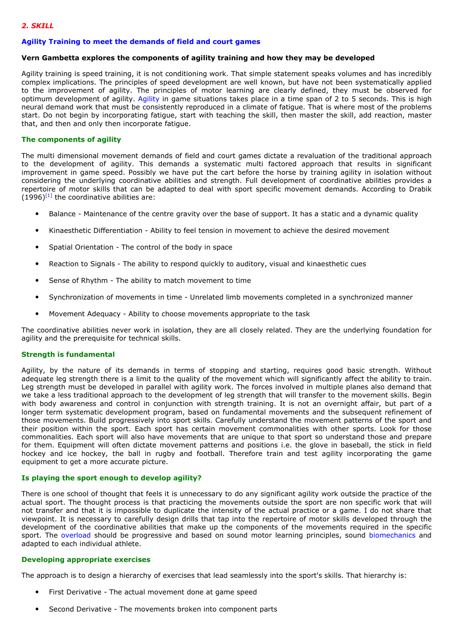## *2. SKILL*

#### **Agility Training to meet the demands of field and court games**

#### **Vern Gambetta explores the components of agility training and how they may be developed**

Agility training is speed training, it is not conditioning work. That simple statement speaks volumes and has incredibly complex implications. The principles of speed development are well known, but have not been systematically applied to the improvement of agility. The principles of motor learning are clearly defined, they must be observed for optimum development of agility. Agility in game situations takes place in a time span of 2 to 5 seconds. This is high neural demand work that must be consistently reproduced in a climate of fatigue. That is where most of the problems start. Do not begin by incorporating fatigue, start with teaching the skill, then master the skill, add reaction, master that, and then and only then incorporate fatigue.

## **The components of agility**

The multi dimensional movement demands of field and court games dictate a revaluation of the traditional approach to the development of agility. This demands a systematic multi factored approach that results in significant improvement in game speed. Possibly we have put the cart before the horse by training agility in isolation without considering the underlying coordinative abilities and strength. Full development of coordinative abilities provides a repertoire of motor skills that can be adapted to deal with sport specific movement demands. According to Drabik  $(1996)^{[1]}$  the coordinative abilities are:

- Balance Maintenance of the centre gravity over the base of support. It has a static and a dynamic quality
- Kinaesthetic Differentiation Ability to feel tension in movement to achieve the desired movement
- Spatial Orientation The control of the body in space
- Reaction to Signals The ability to respond quickly to auditory, visual and kinaesthetic cues
- Sense of Rhythm The ability to match movement to time
- Synchronization of movements in time Unrelated limb movements completed in a synchronized manner
- Movement Adequacy Ability to choose movements appropriate to the task

The coordinative abilities never work in isolation, they are all closely related. They are the underlying foundation for agility and the prerequisite for technical skills.

#### **Strength is fundamental**

Agility, by the nature of its demands in terms of stopping and starting, requires good basic strength. Without adequate leg strength there is a limit to the quality of the movement which will significantly affect the ability to train. Leg strength must be developed in parallel with agility work. The forces involved in multiple planes also demand that we take a less traditional approach to the development of leg strength that will transfer to the movement skills. Begin with body awareness and control in conjunction with strength training. It is not an overnight affair, but part of a longer term systematic development program, based on fundamental movements and the subsequent refinement of those movements. Build progressively into sport skills. Carefully understand the movement patterns of the sport and their position within the sport. Each sport has certain movement commonalities with other sports. Look for those commonalities. Each sport will also have movements that are unique to that sport so understand those and prepare for them. Equipment will often dictate movement patterns and positions i.e. the glove in baseball, the stick in field hockey and ice hockey, the ball in rugby and football. Therefore train and test agility incorporating the game equipment to get a more accurate picture.

#### **Is playing the sport enough to develop agility?**

There is one school of thought that feels it is unnecessary to do any significant agility work outside the practice of the actual sport. The thought process is that practicing the movements outside the sport are non specific work that will not transfer and that it is impossible to duplicate the intensity of the actual practice or a game. I do not share that viewpoint. It is necessary to carefully design drills that tap into the repertoire of motor skills developed through the development of the coordinative abilities that make up the components of the movements required in the specific sport. The overload should be progressive and based on sound motor learning principles, sound biomechanics and adapted to each individual athlete.

#### **Developing appropriate exercises**

The approach is to design a hierarchy of exercises that lead seamlessly into the sport's skills. That hierarchy is:

- First Derivative The actual movement done at game speed
- Second Derivative The movements broken into component parts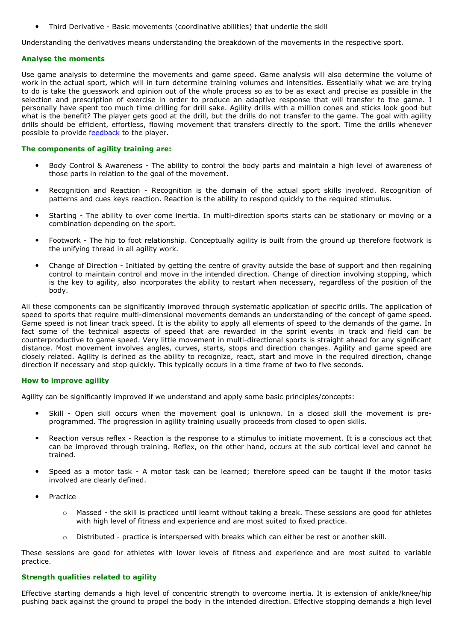• Third Derivative - Basic movements (coordinative abilities) that underlie the skill

Understanding the derivatives means understanding the breakdown of the movements in the respective sport.

#### **Analyse the moments**

Use game analysis to determine the movements and game speed. Game analysis will also determine the volume of work in the actual sport, which will in turn determine training volumes and intensities. Essentially what we are trying to do is take the guesswork and opinion out of the whole process so as to be as exact and precise as possible in the selection and prescription of exercise in order to produce an adaptive response that will transfer to the game. I personally have spent too much time drilling for drill sake. Agility drills with a million cones and sticks look good but what is the benefit? The player gets good at the drill, but the drills do not transfer to the game. The goal with agility drills should be efficient, effortless, flowing movement that transfers directly to the sport. Time the drills whenever possible to provide feedback to the player.

#### **The components of agility training are:**

- Body Control & Awareness The ability to control the body parts and maintain a high level of awareness of those parts in relation to the goal of the movement.
- Recognition and Reaction Recognition is the domain of the actual sport skills involved. Recognition of patterns and cues keys reaction. Reaction is the ability to respond quickly to the required stimulus.
- Starting The ability to over come inertia. In multi-direction sports starts can be stationary or moving or a combination depending on the sport.
- Footwork The hip to foot relationship. Conceptually agility is built from the ground up therefore footwork is the unifying thread in all agility work.
- Change of Direction Initiated by getting the centre of gravity outside the base of support and then regaining control to maintain control and move in the intended direction. Change of direction involving stopping, which is the key to agility, also incorporates the ability to restart when necessary, regardless of the position of the body.

All these components can be significantly improved through systematic application of specific drills. The application of speed to sports that require multi-dimensional movements demands an understanding of the concept of game speed. Game speed is not linear track speed. It is the ability to apply all elements of speed to the demands of the game. In fact some of the technical aspects of speed that are rewarded in the sprint events in track and field can be counterproductive to game speed. Very little movement in multi-directional sports is straight ahead for any significant distance. Most movement involves angles, curves, starts, stops and direction changes. Agility and game speed are closely related. Agility is defined as the ability to recognize, react, start and move in the required direction, change direction if necessary and stop quickly. This typically occurs in a time frame of two to five seconds.

## **How to improve agility**

Agility can be significantly improved if we understand and apply some basic principles/concepts:

- Skill Open skill occurs when the movement goal is unknown. In a closed skill the movement is preprogrammed. The progression in agility training usually proceeds from closed to open skills.
- Reaction versus reflex Reaction is the response to a stimulus to initiate movement. It is a conscious act that can be improved through training. Reflex, on the other hand, occurs at the sub cortical level and cannot be trained.
- Speed as a motor task A motor task can be learned; therefore speed can be taught if the motor tasks involved are clearly defined.
- **Practice** 
	- o Massed the skill is practiced until learnt without taking a break. These sessions are good for athletes with high level of fitness and experience and are most suited to fixed practice.
	- o Distributed practice is interspersed with breaks which can either be rest or another skill.

These sessions are good for athletes with lower levels of fitness and experience and are most suited to variable practice.

#### **Strength qualities related to agility**

Effective starting demands a high level of concentric strength to overcome inertia. It is extension of ankle/knee/hip pushing back against the ground to propel the body in the intended direction. Effective stopping demands a high level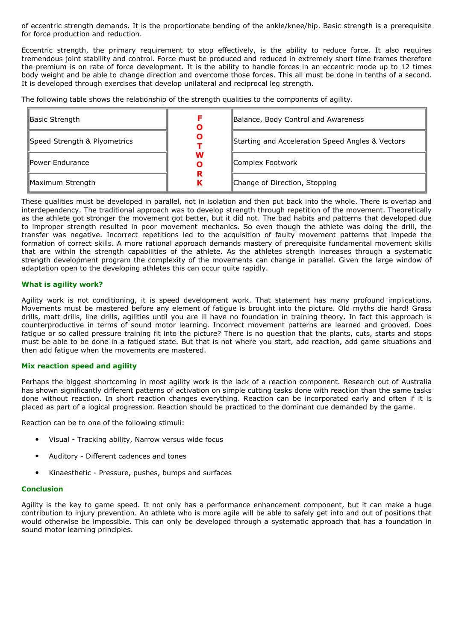of eccentric strength demands. It is the proportionate bending of the ankle/knee/hip. Basic strength is a prerequisite for force production and reduction.

Eccentric strength, the primary requirement to stop effectively, is the ability to reduce force. It also requires tremendous joint stability and control. Force must be produced and reduced in extremely short time frames therefore the premium is on rate of force development. It is the ability to handle forces in an eccentric mode up to 12 times body weight and be able to change direction and overcome those forces. This all must be done in tenths of a second. It is developed through exercises that develop unilateral and reciprocal leg strength.

The following table shows the relationship of the strength qualities to the components of agility.

| Basic Strength               | O      | Balance, Body Control and Awareness              |
|------------------------------|--------|--------------------------------------------------|
| Speed Strength & Plyometrics | O      | Starting and Acceleration Speed Angles & Vectors |
| llPower Endurance            | W<br>O | Complex Footwork                                 |
| Maximum Strength             | R<br>к | Change of Direction, Stopping                    |

These qualities must be developed in parallel, not in isolation and then put back into the whole. There is overlap and interdependency. The traditional approach was to develop strength through repetition of the movement. Theoretically as the athlete got stronger the movement got better, but it did not. The bad habits and patterns that developed due to improper strength resulted in poor movement mechanics. So even though the athlete was doing the drill, the transfer was negative. Incorrect repetitions led to the acquisition of faulty movement patterns that impede the formation of correct skills. A more rational approach demands mastery of prerequisite fundamental movement skills that are within the strength capabilities of the athlete. As the athletes strength increases through a systematic strength development program the complexity of the movements can change in parallel. Given the large window of adaptation open to the developing athletes this can occur quite rapidly.

## **What is agility work?**

Agility work is not conditioning, it is speed development work. That statement has many profound implications. Movements must be mastered before any element of fatigue is brought into the picture. Old myths die hard! Grass drills, matt drills, line drills, agilities until you are ill have no foundation in training theory. In fact this approach is counterproductive in terms of sound motor learning. Incorrect movement patterns are learned and grooved. Does fatigue or so called pressure training fit into the picture? There is no question that the plants, cuts, starts and stops must be able to be done in a fatigued state. But that is not where you start, add reaction, add game situations and then add fatigue when the movements are mastered.

## **Mix reaction speed and agility**

Perhaps the biggest shortcoming in most agility work is the lack of a reaction component. Research out of Australia has shown significantly different patterns of activation on simple cutting tasks done with reaction than the same tasks done without reaction. In short reaction changes everything. Reaction can be incorporated early and often if it is placed as part of a logical progression. Reaction should be practiced to the dominant cue demanded by the game.

Reaction can be to one of the following stimuli:

- Visual Tracking ability, Narrow versus wide focus
- Auditory Different cadences and tones
- Kinaesthetic Pressure, pushes, bumps and surfaces

#### **Conclusion**

Agility is the key to game speed. It not only has a performance enhancement component, but it can make a huge contribution to injury prevention. An athlete who is more agile will be able to safely get into and out of positions that would otherwise be impossible. This can only be developed through a systematic approach that has a foundation in sound motor learning principles.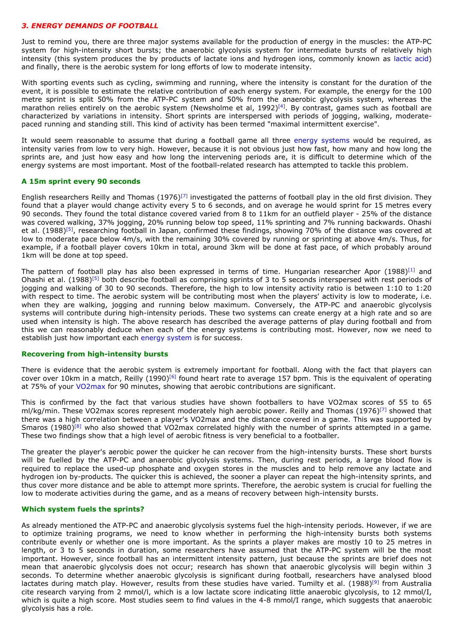#### *3. ENERGY DEMANDS OF FOOTBALL*

Just to remind you, there are three major systems available for the production of energy in the muscles: the ATP-PC system for high-intensity short bursts; the anaerobic glycolysis system for intermediate bursts of relatively high intensity (this system produces the by products of lactate ions and hydrogen ions, commonly known as lactic acid) and finally, there is the aerobic system for long efforts of low to moderate intensity.

With sporting events such as cycling, swimming and running, where the intensity is constant for the duration of the event, it is possible to estimate the relative contribution of each energy system. For example, the energy for the 100 metre sprint is split 50% from the ATP-PC system and 50% from the anaerobic glycolysis system, whereas the marathon relies entirely on the aerobic system (Newsholme et al, 1992)<sup>[4]</sup>. By contrast, games such as football are characterized by variations in intensity. Short sprints are interspersed with periods of jogging, walking, moderatepaced running and standing still. This kind of activity has been termed "maximal intermittent exercise".

It would seem reasonable to assume that during a football game all three energy systems would be required, as intensity varies from low to very high. However, because it is not obvious just how fast, how many and how long the sprints are, and just how easy and how long the intervening periods are, it is difficult to determine which of the energy systems are most important. Most of the football-related research has attempted to tackle this problem.

#### **A 15m sprint every 90 seconds**

English researchers Reilly and Thomas  $(1976)^{[7]}$  investigated the patterns of football play in the old first division. They found that a player would change activity every 5 to 6 seconds, and on average he would sprint for 15 metres every 90 seconds. They found the total distance covered varied from 8 to 11km for an outfield player - 25% of the distance was covered walking, 37% jogging, 20% running below top speed, 11% sprinting and 7% running backwards. Ohashi et al. (1988)<sup>[5]</sup>, researching football in Japan, confirmed these findings, showing 70% of the distance was covered at low to moderate pace below 4m/s, with the remaining 30% covered by running or sprinting at above 4m/s. Thus, for example, if a football player covers 10km in total, around 3km will be done at fast pace, of which probably around 1km will be done at top speed.

The pattern of football play has also been expressed in terms of time. Hungarian researcher Apor (1988)<sup>[1]</sup> and Ohashi et al. (1988)[5] both describe football as comprising sprints of 3 to 5 seconds interspersed with rest periods of jogging and walking of 30 to 90 seconds. Therefore, the high to low intensity activity ratio is between 1:10 to 1:20 with respect to time. The aerobic system will be contributing most when the players' activity is low to moderate, i.e. when they are walking, jogging and running below maximum. Conversely, the ATP-PC and anaerobic glycolysis systems will contribute during high-intensity periods. These two systems can create energy at a high rate and so are used when intensity is high. The above research has described the average patterns of play during football and from this we can reasonably deduce when each of the energy systems is contributing most. However, now we need to establish just how important each energy system is for success.

## **Recovering from high-intensity bursts**

There is evidence that the aerobic system is extremely important for football. Along with the fact that players can cover over 10km in a match, Reilly  $(1990)^{[6]}$  found heart rate to average 157 bpm. This is the equivalent of operating at 75% of your VO2max for 90 minutes, showing that aerobic contributions are significant.

This is confirmed by the fact that various studies have shown footballers to have VO2max scores of 55 to 65 ml/kg/min. These VO2max scores represent moderately high aerobic power. Reilly and Thomas (1976)<sup>[7]</sup> showed that there was a high correlation between a player's VO2max and the distance covered in a game. This was supported by Smaros  $(1980)^{[8]}$  who also showed that VO2max correlated highly with the number of sprints attempted in a game. These two findings show that a high level of aerobic fitness is very beneficial to a footballer.

The greater the player's aerobic power the quicker he can recover from the high-intensity bursts. These short bursts will be fuelled by the ATP-PC and anaerobic glycolysis systems. Then, during rest periods, a large blood flow is required to replace the used-up phosphate and oxygen stores in the muscles and to help remove any lactate and hydrogen ion by-products. The quicker this is achieved, the sooner a player can repeat the high-intensity sprints, and thus cover more distance and be able to attempt more sprints. Therefore, the aerobic system is crucial for fuelling the low to moderate activities during the game, and as a means of recovery between high-intensity bursts.

#### **Which system fuels the sprints?**

As already mentioned the ATP-PC and anaerobic glycolysis systems fuel the high-intensity periods. However, if we are to optimize training programs, we need to know whether in performing the high-intensity bursts both systems contribute evenly or whether one is more important. As the sprints a player makes are mostly 10 to 25 metres in length, or 3 to 5 seconds in duration, some researchers have assumed that the ATP-PC system will be the most important. However, since football has an intermittent intensity pattern, just because the sprints are brief does not mean that anaerobic glycolysis does not occur; research has shown that anaerobic glycolysis will begin within 3 seconds. To determine whether anaerobic glycolysis is significant during football, researchers have analysed blood lactates during match play. However, results from these studies have varied. Tumilty et al. (1988)<sup>[9]</sup> from Australia cite research varying from 2 mmol/l, which is a low lactate score indicating little anaerobic glycolysis, to 12 mmol/I, which is quite a high score. Most studies seem to find values in the 4-8 mmol/I range, which suggests that anaerobic glycolysis has a role.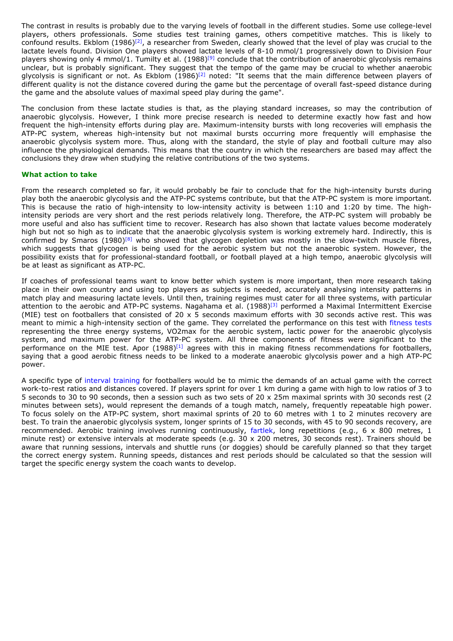The contrast in results is probably due to the varying levels of football in the different studies. Some use college-level players, others professionals. Some studies test training games, others competitive matches. This is likely to confound results. Ekblom  $(1986)^{[2]}$ , a researcher from Sweden, clearly showed that the level of play was crucial to the lactate levels found. Division One players showed lactate levels of 8-10 mmol/1 progressively down to Division Four players showing only 4 mmol/1. Tumilty et al. (1988)<sup>[9]</sup> conclude that the contribution of anaerobic glycolysis remains unclear, but is probably significant. They suggest that the tempo of the game may be crucial to whether anaerobic glycolysis is significant or not. As Ekblom (1986)[2] noted: "It seems that the main difference between players of different quality is not the distance covered during the game but the percentage of overall fast-speed distance during the game and the absolute values of maximal speed play during the game".

The conclusion from these lactate studies is that, as the playing standard increases, so may the contribution of anaerobic glycolysis. However, I think more precise research is needed to determine exactly how fast and how frequent the high-intensity efforts during play are. Maximum-intensity bursts with long recoveries will emphasis the ATP-PC system, whereas high-intensity but not maximal bursts occurring more frequently will emphasise the anaerobic glycolysis system more. Thus, along with the standard, the style of play and football culture may also influence the physiological demands. This means that the country in which the researchers are based may affect the conclusions they draw when studying the relative contributions of the two systems.

#### **What action to take**

From the research completed so far, it would probably be fair to conclude that for the high-intensity bursts during play both the anaerobic glycolysis and the ATP-PC systems contribute, but that the ATP-PC system is more important. This is because the ratio of high-intensity to low-intensity activity is between 1:10 and 1:20 by time. The highintensity periods are very short and the rest periods relatively long. Therefore, the ATP-PC system will probably be more useful and also has sufficient time to recover. Research has also shown that lactate values become moderately high but not so high as to indicate that the anaerobic glycolysis system is working extremely hard. Indirectly, this is confirmed by Smaros (1980)<sup>[8]</sup> who showed that glycogen depletion was mostly in the slow-twitch muscle fibres, which suggests that glycogen is being used for the aerobic system but not the anaerobic system. However, the possibility exists that for professional-standard football, or football played at a high tempo, anaerobic glycolysis will be at least as significant as ATP-PC.

If coaches of professional teams want to know better which system is more important, then more research taking place in their own country and using top players as subjects is needed, accurately analysing intensity patterns in match play and measuring lactate levels. Until then, training regimes must cater for all three systems, with particular attention to the aerobic and ATP-PC systems. Nagahama et al. (1988)<sup>[3]</sup> performed a Maximal Intermittent Exercise (MIE) test on footballers that consisted of 20  $\times$  5 seconds maximum efforts with 30 seconds active rest. This was meant to mimic a high-intensity section of the game. They correlated the performance on this test with fitness tests representing the three energy systems, VO2max for the aerobic system, lactic power for the anaerobic glycolysis system, and maximum power for the ATP-PC system. All three components of fitness were significant to the performance on the MIE test. Apor  $(1988)^{[1]}$  agrees with this in making fitness recommendations for footballers, saying that a good aerobic fitness needs to be linked to a moderate anaerobic glycolysis power and a high ATP-PC power.

A specific type of interval training for footballers would be to mimic the demands of an actual game with the correct work-to-rest ratios and distances covered. If players sprint for over 1 km during a game with high to low ratios of 3 to 5 seconds to 30 to 90 seconds, then a session such as two sets of 20 x 25m maximal sprints with 30 seconds rest (2 minutes between sets), would represent the demands of a tough match, namely, frequently repeatable high power. To focus solely on the ATP-PC system, short maximal sprints of 20 to 60 metres with 1 to 2 minutes recovery are best. To train the anaerobic glycolysis system, longer sprints of 15 to 30 seconds, with 45 to 90 seconds recovery, are recommended. Aerobic training involves running continuously, fartlek, long repetitions (e.g., 6 x 800 metres, 1 minute rest) or extensive intervals at moderate speeds (e.g. 30 x 200 metres, 30 seconds rest). Trainers should be aware that running sessions, intervals and shuttle runs (or doggies) should be carefully planned so that they target the correct energy system. Running speeds, distances and rest periods should be calculated so that the session will target the specific energy system the coach wants to develop.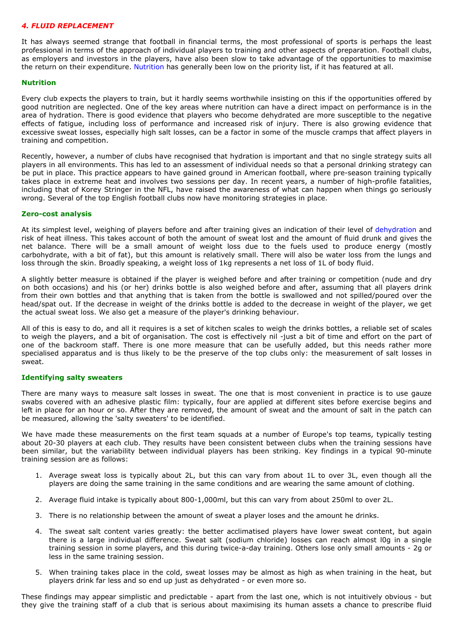#### *4. FLUID REPLACEMENT*

It has always seemed strange that football in financial terms, the most professional of sports is perhaps the least professional in terms of the approach of individual players to training and other aspects of preparation. Football clubs, as employers and investors in the players, have also been slow to take advantage of the opportunities to maximise the return on their expenditure. Nutrition has generally been low on the priority list, if it has featured at all.

#### **Nutrition**

Every club expects the players to train, but it hardly seems worthwhile insisting on this if the opportunities offered by good nutrition are neglected. One of the key areas where nutrition can have a direct impact on performance is in the area of hydration. There is good evidence that players who become dehydrated are more susceptible to the negative effects of fatigue, including loss of performance and increased risk of injury. There is also growing evidence that excessive sweat losses, especially high salt losses, can be a factor in some of the muscle cramps that affect players in training and competition.

Recently, however, a number of clubs have recognised that hydration is important and that no single strategy suits all players in all environments. This has led to an assessment of individual needs so that a personal drinking strategy can be put in place. This practice appears to have gained ground in American football, where pre-season training typically takes place in extreme heat and involves two sessions per day. In recent years, a number of high-profile fatalities, including that of Korey Stringer in the NFL, have raised the awareness of what can happen when things go seriously wrong. Several of the top English football clubs now have monitoring strategies in place.

#### **Zero-cost analysis**

At its simplest level, weighing of players before and after training gives an indication of their level of dehydration and risk of heat illness. This takes account of both the amount of sweat lost and the amount of fluid drunk and gives the net balance. There will be a small amount of weight loss due to the fuels used to produce energy (mostly carbohydrate, with a bit of fat), but this amount is relatively small. There will also be water loss from the lungs and loss through the skin. Broadly speaking, a weight loss of 1kg represents a net loss of 1L of body fluid.

A slightly better measure is obtained if the player is weighed before and after training or competition (nude and dry on both occasions) and his (or her) drinks bottle is also weighed before and after, assuming that all players drink from their own bottles and that anything that is taken from the bottle is swallowed and not spilled/poured over the head/spat out. If the decrease in weight of the drinks bottle is added to the decrease in weight of the player, we get the actual sweat loss. We also get a measure of the player's drinking behaviour.

All of this is easy to do, and all it requires is a set of kitchen scales to weigh the drinks bottles, a reliable set of scales to weigh the players, and a bit of organisation. The cost is effectively nil -just a bit of time and effort on the part of one of the backroom staff. There is one more measure that can be usefully added, but this needs rather more specialised apparatus and is thus likely to be the preserve of the top clubs only: the measurement of salt losses in sweat.

## **Identifying salty sweaters**

There are many ways to measure salt losses in sweat. The one that is most convenient in practice is to use gauze swabs covered with an adhesive plastic film: typically, four are applied at different sites before exercise begins and left in place for an hour or so. After they are removed, the amount of sweat and the amount of salt in the patch can be measured, allowing the 'salty sweaters' to be identified.

We have made these measurements on the first team squads at a number of Europe's top teams, typically testing about 20-30 players at each club. They results have been consistent between clubs when the training sessions have been similar, but the variability between individual players has been striking. Key findings in a typical 90-minute training session are as follows:

- 1. Average sweat loss is typically about 2L, but this can vary from about 1L to over 3L, even though all the players are doing the same training in the same conditions and are wearing the same amount of clothing.
- 2. Average fluid intake is typically about 800-1,000ml, but this can vary from about 250ml to over 2L.
- 3. There is no relationship between the amount of sweat a player loses and the amount he drinks.
- 4. The sweat salt content varies greatly: the better acclimatised players have lower sweat content, but again there is a large individual difference. Sweat salt (sodium chloride) losses can reach almost l0g in a single training session in some players, and this during twice-a-day training. Others lose only small amounts - 2g or less in the same training session.
- 5. When training takes place in the cold, sweat losses may be almost as high as when training in the heat, but players drink far less and so end up just as dehydrated - or even more so.

These findings may appear simplistic and predictable - apart from the last one, which is not intuitively obvious - but they give the training staff of a club that is serious about maximising its human assets a chance to prescribe fluid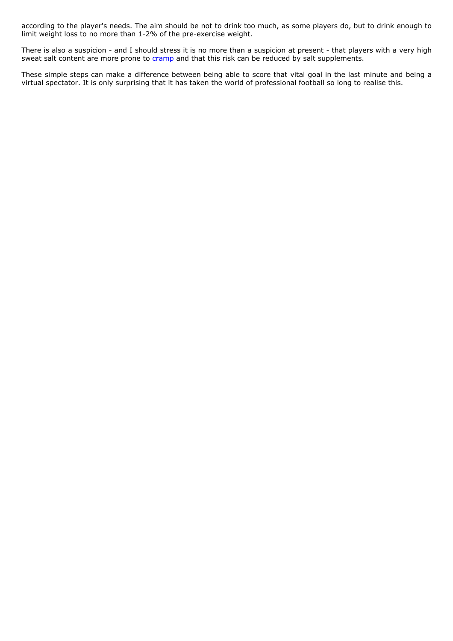according to the player's needs. The aim should be not to drink too much, as some players do, but to drink enough to limit weight loss to no more than 1-2% of the pre-exercise weight.

There is also a suspicion - and I should stress it is no more than a suspicion at present - that players with a very high sweat salt content are more prone to cramp and that this risk can be reduced by salt supplements.

These simple steps can make a difference between being able to score that vital goal in the last minute and being a virtual spectator. It is only surprising that it has taken the world of professional football so long to realise this.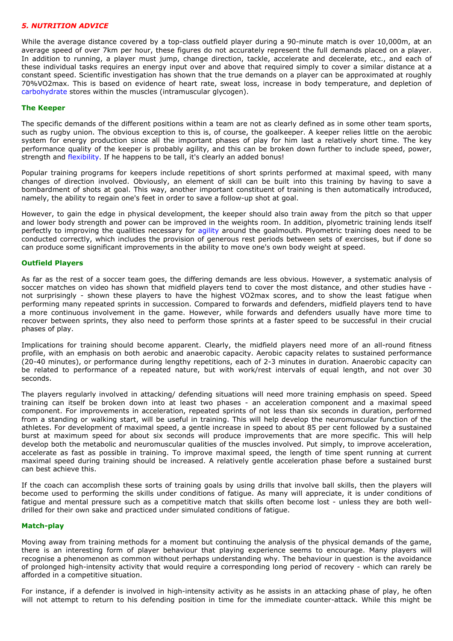## *5. NUTRITION ADVICE*

While the average distance covered by a top-class outfield player during a 90-minute match is over 10,000m, at an average speed of over 7km per hour, these figures do not accurately represent the full demands placed on a player. In addition to running, a player must jump, change direction, tackle, accelerate and decelerate, etc., and each of these individual tasks requires an energy input over and above that required simply to cover a similar distance at a constant speed. Scientific investigation has shown that the true demands on a player can be approximated at roughly 70%VO2max. This is based on evidence of heart rate, sweat loss, increase in body temperature, and depletion of carbohydrate stores within the muscles (intramuscular glycogen).

#### **The Keeper**

The specific demands of the different positions within a team are not as clearly defined as in some other team sports, such as rugby union. The obvious exception to this is, of course, the goalkeeper. A keeper relies little on the aerobic system for energy production since all the important phases of play for him last a relatively short time. The key performance quality of the keeper is probably agility, and this can be broken down further to include speed, power, strength and flexibility. If he happens to be tall, it's clearly an added bonus!

Popular training programs for keepers include repetitions of short sprints performed at maximal speed, with many changes of direction involved. Obviously, an element of skill can be built into this training by having to save a bombardment of shots at goal. This way, another important constituent of training is then automatically introduced, namely, the ability to regain one's feet in order to save a follow-up shot at goal.

However, to gain the edge in physical development, the keeper should also train away from the pitch so that upper and lower body strength and power can be improved in the weights room. In addition, plyometric training lends itself perfectly to improving the qualities necessary for agility around the goalmouth. Plyometric training does need to be conducted correctly, which includes the provision of generous rest periods between sets of exercises, but if done so can produce some significant improvements in the ability to move one's own body weight at speed.

#### **Outfield Players**

As far as the rest of a soccer team goes, the differing demands are less obvious. However, a systematic analysis of soccer matches on video has shown that midfield players tend to cover the most distance, and other studies have not surprisingly - shown these players to have the highest VO2max scores, and to show the least fatigue when performing many repeated sprints in succession. Compared to forwards and defenders, midfield players tend to have a more continuous involvement in the game. However, while forwards and defenders usually have more time to recover between sprints, they also need to perform those sprints at a faster speed to be successful in their crucial phases of play.

Implications for training should become apparent. Clearly, the midfield players need more of an all-round fitness profile, with an emphasis on both aerobic and anaerobic capacity. Aerobic capacity relates to sustained performance (20-40 minutes), or performance during lengthy repetitions, each of 2-3 minutes in duration. Anaerobic capacity can be related to performance of a repeated nature, but with work/rest intervals of equal length, and not over 30 seconds.

The players regularly involved in attacking/ defending situations will need more training emphasis on speed. Speed training can itself be broken down into at least two phases - an acceleration component and a maximal speed component. For improvements in acceleration, repeated sprints of not less than six seconds in duration, performed from a standing or walking start, will be useful in training. This will help develop the neuromuscular function of the athletes. For development of maximal speed, a gentle increase in speed to about 85 per cent followed by a sustained burst at maximum speed for about six seconds will produce improvements that are more specific. This will help develop both the metabolic and neuromuscular qualities of the muscles involved. Put simply, to improve acceleration, accelerate as fast as possible in training. To improve maximal speed, the length of time spent running at current maximal speed during training should be increased. A relatively gentle acceleration phase before a sustained burst can best achieve this.

If the coach can accomplish these sorts of training goals by using drills that involve ball skills, then the players will become used to performing the skills under conditions of fatigue. As many will appreciate, it is under conditions of fatigue and mental pressure such as a competitive match that skills often become lost - unless they are both welldrilled for their own sake and practiced under simulated conditions of fatigue.

#### **Match-play**

Moving away from training methods for a moment but continuing the analysis of the physical demands of the game, there is an interesting form of player behaviour that playing experience seems to encourage. Many players will recognise a phenomenon as common without perhaps understanding why. The behaviour in question is the avoidance of prolonged high-intensity activity that would require a corresponding long period of recovery - which can rarely be afforded in a competitive situation.

For instance, if a defender is involved in high-intensity activity as he assists in an attacking phase of play, he often will not attempt to return to his defending position in time for the immediate counter-attack. While this might be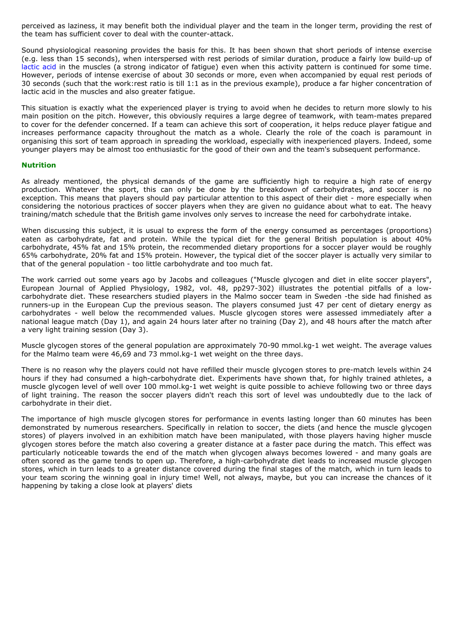perceived as laziness, it may benefit both the individual player and the team in the longer term, providing the rest of the team has sufficient cover to deal with the counter-attack.

Sound physiological reasoning provides the basis for this. It has been shown that short periods of intense exercise (e.g. less than 15 seconds), when interspersed with rest periods of similar duration, produce a fairly low build-up of lactic acid in the muscles (a strong indicator of fatigue) even when this activity pattern is continued for some time. However, periods of intense exercise of about 30 seconds or more, even when accompanied by equal rest periods of 30 seconds (such that the work:rest ratio is till 1:1 as in the previous example), produce a far higher concentration of lactic acid in the muscles and also greater fatigue.

This situation is exactly what the experienced player is trying to avoid when he decides to return more slowly to his main position on the pitch. However, this obviously requires a large degree of teamwork, with team-mates prepared to cover for the defender concerned. If a team can achieve this sort of cooperation, it helps reduce player fatigue and increases performance capacity throughout the match as a whole. Clearly the role of the coach is paramount in organising this sort of team approach in spreading the workload, especially with inexperienced players. Indeed, some younger players may be almost too enthusiastic for the good of their own and the team's subsequent performance.

#### **Nutrition**

As already mentioned, the physical demands of the game are sufficiently high to require a high rate of energy production. Whatever the sport, this can only be done by the breakdown of carbohydrates, and soccer is no exception. This means that players should pay particular attention to this aspect of their diet - more especially when considering the notorious practices of soccer players when they are given no guidance about what to eat. The heavy training/match schedule that the British game involves only serves to increase the need for carbohydrate intake.

When discussing this subject, it is usual to express the form of the energy consumed as percentages (proportions) eaten as carbohydrate, fat and protein. While the typical diet for the general British population is about 40% carbohydrate, 45% fat and 15% protein, the recommended dietary proportions for a soccer player would be roughly 65% carbohydrate, 20% fat and 15% protein. However, the typical diet of the soccer player is actually very similar to that of the general population - too little carbohydrate and too much fat.

The work carried out some years ago by Jacobs and colleagues ("Muscle glycogen and diet in elite soccer players", European Journal of Applied Physiology, 1982, vol. 48, pp297-302) illustrates the potential pitfalls of a lowcarbohydrate diet. These researchers studied players in the Malmo soccer team in Sweden -the side had finished as runners-up in the European Cup the previous season. The players consumed just 47 per cent of dietary energy as carbohydrates - well below the recommended values. Muscle glycogen stores were assessed immediately after a national league match (Day 1), and again 24 hours later after no training (Day 2), and 48 hours after the match after a very light training session (Day 3).

Muscle glycogen stores of the general population are approximately 70-90 mmol.kg-1 wet weight. The average values for the Malmo team were 46,69 and 73 mmol.kg-1 wet weight on the three days.

There is no reason why the players could not have refilled their muscle glycogen stores to pre-match levels within 24 hours if they had consumed a high-carbohydrate diet. Experiments have shown that, for highly trained athletes, a muscle glycogen level of well over 100 mmol.kg-1 wet weight is quite possible to achieve following two or three days of light training. The reason the soccer players didn't reach this sort of level was undoubtedly due to the lack of carbohydrate in their diet.

The importance of high muscle glycogen stores for performance in events lasting longer than 60 minutes has been demonstrated by numerous researchers. Specifically in relation to soccer, the diets (and hence the muscle glycogen stores) of players involved in an exhibition match have been manipulated, with those players having higher muscle glycogen stores before the match also covering a greater distance at a faster pace during the match. This effect was particularly noticeable towards the end of the match when glycogen always becomes lowered - and many goals are often scored as the game tends to open up. Therefore, a high-carbohydrate diet leads to increased muscle glycogen stores, which in turn leads to a greater distance covered during the final stages of the match, which in turn leads to your team scoring the winning goal in injury time! Well, not always, maybe, but you can increase the chances of it happening by taking a close look at players' diets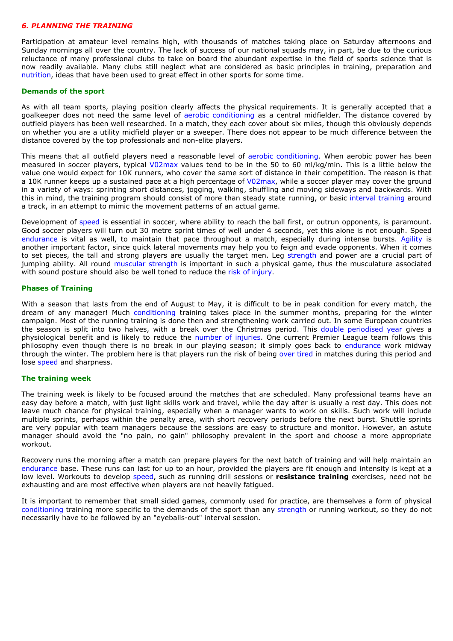#### *6. PLANNING THE TRAINING*

Participation at amateur level remains high, with thousands of matches taking place on Saturday afternoons and Sunday mornings all over the country. The lack of success of our national squads may, in part, be due to the curious reluctance of many professional clubs to take on board the abundant expertise in the field of sports science that is now readily available. Many clubs still neglect what are considered as basic principles in training, preparation and nutrition, ideas that have been used to great effect in other sports for some time.

#### **Demands of the sport**

As with all team sports, playing position clearly affects the physical requirements. It is generally accepted that a goalkeeper does not need the same level of aerobic conditioning as a central midfielder. The distance covered by outfield players has been well researched. In a match, they each cover about six miles, though this obviously depends on whether you are a utility midfield player or a sweeper. There does not appear to be much difference between the distance covered by the top professionals and non-elite players.

This means that all outfield players need a reasonable level of aerobic conditioning. When aerobic power has been measured in soccer players, typical V02max values tend to be in the 50 to 60 ml/kg/min. This is a little below the value one would expect for 10K runners, who cover the same sort of distance in their competition. The reason is that a 10K runner keeps up a sustained pace at a high percentage of V02max, while a soccer player may cover the ground in a variety of ways: sprinting short distances, jogging, walking, shuffling and moving sideways and backwards. With this in mind, the training program should consist of more than steady state running, or basic interval training around a track, in an attempt to mimic the movement patterns of an actual game.

Development of speed is essential in soccer, where ability to reach the ball first, or outrun opponents, is paramount. Good soccer players will turn out 30 metre sprint times of well under 4 seconds, yet this alone is not enough. Speed endurance is vital as well, to maintain that pace throughout a match, especially during intense bursts. Agility is another important factor, since quick lateral movements may help you to feign and evade opponents. When it comes to set pieces, the tall and strong players are usually the target men. Leg strength and power are a crucial part of jumping ability. All round muscular strength is important in such a physical game, thus the musculature associated with sound posture should also be well toned to reduce the risk of injury.

## **Phases of Training**

With a season that lasts from the end of August to May, it is difficult to be in peak condition for every match, the dream of any manager! Much conditioning training takes place in the summer months, preparing for the winter campaign. Most of the running training is done then and strengthening work carried out. In some European countries the season is split into two halves, with a break over the Christmas period. This double periodised year gives a physiological benefit and is likely to reduce the number of injuries. One current Premier League team follows this philosophy even though there is no break in our playing season; it simply goes back to endurance work midway through the winter. The problem here is that players run the risk of being over tired in matches during this period and lose speed and sharpness.

## **The training week**

The training week is likely to be focused around the matches that are scheduled. Many professional teams have an easy day before a match, with just light skills work and travel, while the day after is usually a rest day. This does not leave much chance for physical training, especially when a manager wants to work on skills. Such work will include multiple sprints, perhaps within the penalty area, with short recovery periods before the next burst. Shuttle sprints are very popular with team managers because the sessions are easy to structure and monitor. However, an astute manager should avoid the "no pain, no gain" philosophy prevalent in the sport and choose a more appropriate workout.

Recovery runs the morning after a match can prepare players for the next batch of training and will help maintain an endurance base. These runs can last for up to an hour, provided the players are fit enough and intensity is kept at a low level. Workouts to develop speed, such as running drill sessions or **resistance training** exercises, need not be exhausting and are most effective when players are not heavily fatigued.

It is important to remember that small sided games, commonly used for practice, are themselves a form of physical conditioning training more specific to the demands of the sport than any strength or running workout, so they do not necessarily have to be followed by an "eyeballs-out" interval session.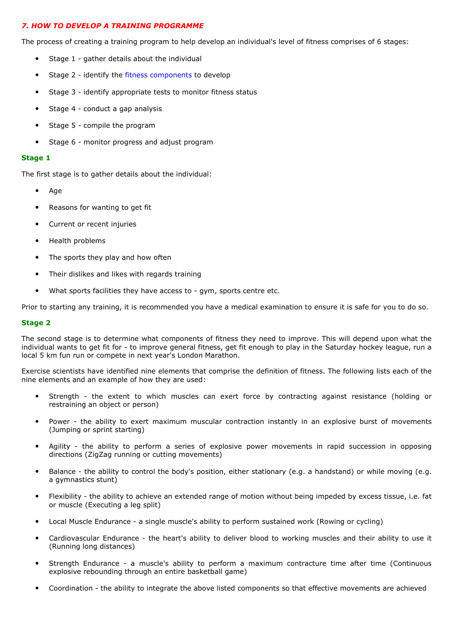## *7. HOW TO DEVELOP A TRAINING PROGRAMME*

The process of creating a training program to help develop an individual's level of fitness comprises of 6 stages:

- Stage 1 gather details about the individual
- Stage 2 identify the fitness components to develop
- Stage 3 identify appropriate tests to monitor fitness status
- Stage 4 conduct a gap analysis
- Stage 5 compile the program
- Stage 6 monitor progress and adjust program

#### **Stage 1**

The first stage is to gather details about the individual:

- Age
- Reasons for wanting to get fit
- Current or recent injuries
- Health problems
- The sports they play and how often
- Their dislikes and likes with regards training
- What sports facilities they have access to gym, sports centre etc.

Prior to starting any training, it is recommended you have a medical examination to ensure it is safe for you to do so.

#### **Stage 2**

The second stage is to determine what components of fitness they need to improve. This will depend upon what the individual wants to get fit for - to improve general fitness, get fit enough to play in the Saturday hockey league, run a local 5 km fun run or compete in next year's London Marathon.

Exercise scientists have identified nine elements that comprise the definition of fitness. The following lists each of the nine elements and an example of how they are used:

- Strength the extent to which muscles can exert force by contracting against resistance (holding or restraining an object or person)
- Power the ability to exert maximum muscular contraction instantly in an explosive burst of movements (Jumping or sprint starting)
- Agility the ability to perform a series of explosive power movements in rapid succession in opposing directions (ZigZag running or cutting movements)
- Balance the ability to control the body's position, either stationary (e.g. a handstand) or while moving (e.g. a gymnastics stunt)
- Flexibility the ability to achieve an extended range of motion without being impeded by excess tissue, i.e. fat or muscle (Executing a leg split)
- Local Muscle Endurance a single muscle's ability to perform sustained work (Rowing or cycling)
- Cardiovascular Endurance the heart's ability to deliver blood to working muscles and their ability to use it (Running long distances)
- Strength Endurance a muscle's ability to perform a maximum contracture time after time (Continuous explosive rebounding through an entire basketball game)
- Coordination the ability to integrate the above listed components so that effective movements are achieved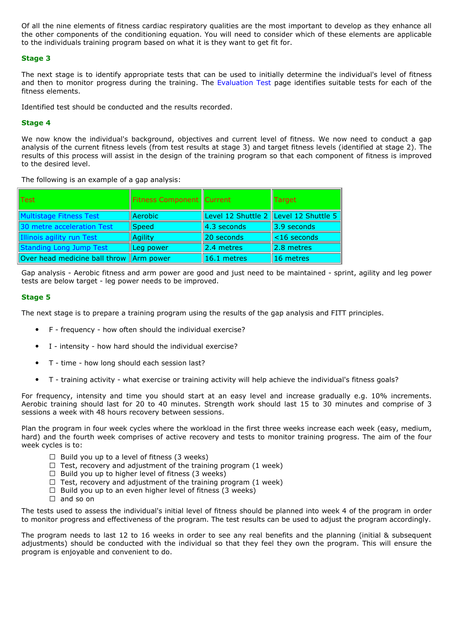Of all the nine elements of fitness cardiac respiratory qualities are the most important to develop as they enhance all the other components of the conditioning equation. You will need to consider which of these elements are applicable to the individuals training program based on what it is they want to get fit for.

## **Stage 3**

The next stage is to identify appropriate tests that can be used to initially determine the individual's level of fitness and then to monitor progress during the training. The Evaluation Test page identifies suitable tests for each of the fitness elements.

Identified test should be conducted and the results recorded.

## **Stage 4**

We now know the individual's background, objectives and current level of fitness. We now need to conduct a gap analysis of the current fitness levels (from test results at stage 3) and target fitness levels (identified at stage 2). The results of this process will assist in the design of the training program so that each component of fitness is improved to the desired level.

The following is an example of a gap analysis:

| ${\sf I}{\sf Test}$                     | <b>Fitness Component   Current</b> |                                       | Target                  |
|-----------------------------------------|------------------------------------|---------------------------------------|-------------------------|
| Multistage Fitness Test                 | Aerobic                            | Level 12 Shuttle 2 Level 12 Shuttle 5 |                         |
| 30 metre acceleration Test              | Speed                              | $  4.3$ seconds                       | $\parallel$ 3.9 seconds |
| Illinois agility run Test               | Agility                            | 20 seconds                            | $\vert$ <16 seconds     |
| Standing Long Jump Test                 | Leg power                          | 12.4 metres                           | 2.8 metres              |
| Over head medicine ball throw Arm power |                                    | 16.1 metres                           | 16 metres               |

Gap analysis - Aerobic fitness and arm power are good and just need to be maintained - sprint, agility and leg power tests are below target - leg power needs to be improved.

## **Stage 5**

The next stage is to prepare a training program using the results of the gap analysis and FITT principles.

- F frequency how often should the individual exercise?
- I intensity how hard should the individual exercise?
- T time how long should each session last?
- T training activity what exercise or training activity will help achieve the individual's fitness goals?

For frequency, intensity and time you should start at an easy level and increase gradually e.g. 10% increments. Aerobic training should last for 20 to 40 minutes. Strength work should last 15 to 30 minutes and comprise of 3 sessions a week with 48 hours recovery between sessions.

Plan the program in four week cycles where the workload in the first three weeks increase each week (easy, medium, hard) and the fourth week comprises of active recovery and tests to monitor training progress. The aim of the four week cycles is to:

- $\Box$  Build you up to a level of fitness (3 weeks)
- $\Box$  Test, recovery and adjustment of the training program (1 week)
- $\Box$  Build you up to higher level of fitness (3 weeks)
- $\Box$  Test, recovery and adjustment of the training program (1 week)
- $\Box$  Build you up to an even higher level of fitness (3 weeks)
- $\Box$  and so on

The tests used to assess the individual's initial level of fitness should be planned into week 4 of the program in order to monitor progress and effectiveness of the program. The test results can be used to adjust the program accordingly.

The program needs to last 12 to 16 weeks in order to see any real benefits and the planning (initial & subsequent adjustments) should be conducted with the individual so that they feel they own the program. This will ensure the program is enjoyable and convenient to do.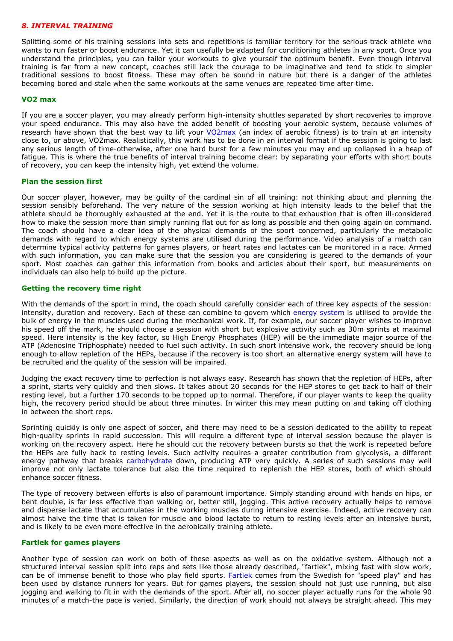#### *8. INTERVAL TRAINING*

Splitting some of his training sessions into sets and repetitions is familiar territory for the serious track athlete who wants to run faster or boost endurance. Yet it can usefully be adapted for conditioning athletes in any sport. Once you understand the principles, you can tailor your workouts to give yourself the optimum benefit. Even though interval training is far from a new concept, coaches still lack the courage to be imaginative and tend to stick to simpler traditional sessions to boost fitness. These may often be sound in nature but there is a danger of the athletes becoming bored and stale when the same workouts at the same venues are repeated time after time.

#### **VO2 max**

If you are a soccer player, you may already perform high-intensity shuttles separated by short recoveries to improve your speed endurance. This may also have the added benefit of boosting your aerobic system, because volumes of research have shown that the best way to lift your VO2max (an index of aerobic fitness) is to train at an intensity close to, or above, VO2max. Realistically, this work has to be done in an interval format if the session is going to last any serious length of time-otherwise, after one hard burst for a few minutes you may end up collapsed in a heap of fatigue. This is where the true benefits of interval training become clear: by separating your efforts with short bouts of recovery, you can keep the intensity high, yet extend the volume.

#### **Plan the session first**

Our soccer player, however, may be guilty of the cardinal sin of all training: not thinking about and planning the session sensibly beforehand. The very nature of the session working at high intensity leads to the belief that the athlete should be thoroughly exhausted at the end. Yet it is the route to that exhaustion that is often ill-considered how to make the session more than simply running flat out for as long as possible and then going again on command. The coach should have a clear idea of the physical demands of the sport concerned, particularly the metabolic demands with regard to which energy systems are utilised during the performance. Video analysis of a match can determine typical activity patterns for games players, or heart rates and lactates can be monitored in a race. Armed with such information, you can make sure that the session you are considering is geared to the demands of your sport. Most coaches can gather this information from books and articles about their sport, but measurements on individuals can also help to build up the picture.

#### **Getting the recovery time right**

With the demands of the sport in mind, the coach should carefully consider each of three key aspects of the session: intensity, duration and recovery. Each of these can combine to govern which energy system is utilised to provide the bulk of energy in the muscles used during the mechanical work. If, for example, our soccer player wishes to improve his speed off the mark, he should choose a session with short but explosive activity such as 30m sprints at maximal speed. Here intensity is the key factor, so High Energy Phosphates (HEP) will be the immediate major source of the ATP (Adenosine Triphosphate) needed to fuel such activity. In such short intensive work, the recovery should be long enough to allow repletion of the HEPs, because if the recovery is too short an alternative energy system will have to be recruited and the quality of the session will be impaired.

Judging the exact recovery time to perfection is not always easy. Research has shown that the repletion of HEPs, after a sprint, starts very quickly and then slows. It takes about 20 seconds for the HEP stores to get back to half of their resting level, but a further 170 seconds to be topped up to normal. Therefore, if our player wants to keep the quality high, the recovery period should be about three minutes. In winter this may mean putting on and taking off clothing in between the short reps.

Sprinting quickly is only one aspect of soccer, and there may need to be a session dedicated to the ability to repeat high-quality sprints in rapid succession. This will require a different type of interval session because the player is working on the recovery aspect. Here he should cut the recovery between bursts so that the work is repeated before the HEPs are fully back to resting levels. Such activity requires a greater contribution from glycolysis, a different energy pathway that breaks carbohydrate down, producing ATP very quickly. A series of such sessions may well improve not only lactate tolerance but also the time required to replenish the HEP stores, both of which should enhance soccer fitness.

The type of recovery between efforts is also of paramount importance. Simply standing around with hands on hips, or bent double, is far less effective than walking or, better still, jogging. This active recovery actually helps to remove and disperse lactate that accumulates in the working muscles during intensive exercise. Indeed, active recovery can almost halve the time that is taken for muscle and blood lactate to return to resting levels after an intensive burst, and is likely to be even more effective in the aerobically training athlete.

#### **Fartlek for games players**

Another type of session can work on both of these aspects as well as on the oxidative system. Although not a structured interval session split into reps and sets like those already described, "fartlek", mixing fast with slow work, can be of immense benefit to those who play field sports. Fartlek comes from the Swedish for "speed play" and has been used by distance runners for years. But for games players, the session should not just use running, but also jogging and walking to fit in with the demands of the sport. After all, no soccer player actually runs for the whole 90 minutes of a match-the pace is varied. Similarly, the direction of work should not always be straight ahead. This may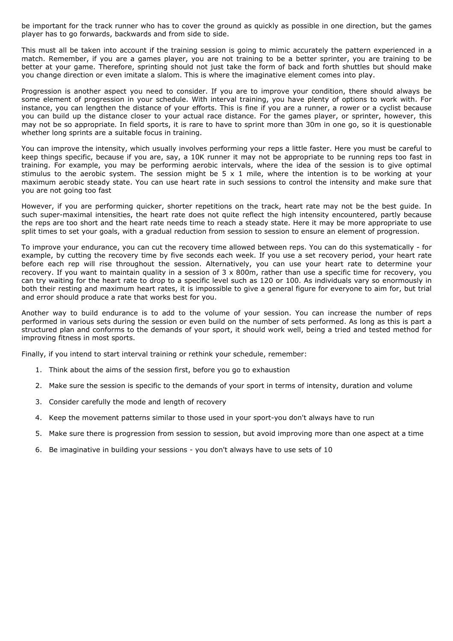be important for the track runner who has to cover the ground as quickly as possible in one direction, but the games player has to go forwards, backwards and from side to side.

This must all be taken into account if the training session is going to mimic accurately the pattern experienced in a match. Remember, if you are a games player, you are not training to be a better sprinter, you are training to be better at your game. Therefore, sprinting should not just take the form of back and forth shuttles but should make you change direction or even imitate a slalom. This is where the imaginative element comes into play.

Progression is another aspect you need to consider. If you are to improve your condition, there should always be some element of progression in your schedule. With interval training, you have plenty of options to work with. For instance, you can lengthen the distance of your efforts. This is fine if you are a runner, a rower or a cyclist because you can build up the distance closer to your actual race distance. For the games player, or sprinter, however, this may not be so appropriate. In field sports, it is rare to have to sprint more than 30m in one go, so it is questionable whether long sprints are a suitable focus in training.

You can improve the intensity, which usually involves performing your reps a little faster. Here you must be careful to keep things specific, because if you are, say, a 10K runner it may not be appropriate to be running reps too fast in training. For example, you may be performing aerobic intervals, where the idea of the session is to give optimal stimulus to the aerobic system. The session might be  $5 \times 1$  mile, where the intention is to be working at your maximum aerobic steady state. You can use heart rate in such sessions to control the intensity and make sure that you are not going too fast

However, if you are performing quicker, shorter repetitions on the track, heart rate may not be the best guide. In such super-maximal intensities, the heart rate does not quite reflect the high intensity encountered, partly because the reps are too short and the heart rate needs time to reach a steady state. Here it may be more appropriate to use split times to set your goals, with a gradual reduction from session to session to ensure an element of progression.

To improve your endurance, you can cut the recovery time allowed between reps. You can do this systematically - for example, by cutting the recovery time by five seconds each week. If you use a set recovery period, your heart rate before each rep will rise throughout the session. Alternatively, you can use your heart rate to determine your recovery. If you want to maintain quality in a session of  $3 \times 800$ m, rather than use a specific time for recovery, you can try waiting for the heart rate to drop to a specific level such as 120 or 100. As individuals vary so enormously in both their resting and maximum heart rates, it is impossible to give a general figure for everyone to aim for, but trial and error should produce a rate that works best for you.

Another way to build endurance is to add to the volume of your session. You can increase the number of reps performed in various sets during the session or even build on the number of sets performed. As long as this is part a structured plan and conforms to the demands of your sport, it should work well, being a tried and tested method for improving fitness in most sports.

Finally, if you intend to start interval training or rethink your schedule, remember:

- 1. Think about the aims of the session first, before you go to exhaustion
- 2. Make sure the session is specific to the demands of your sport in terms of intensity, duration and volume
- 3. Consider carefully the mode and length of recovery
- 4. Keep the movement patterns similar to those used in your sport-you don't always have to run
- 5. Make sure there is progression from session to session, but avoid improving more than one aspect at a time
- 6. Be imaginative in building your sessions you don't always have to use sets of 10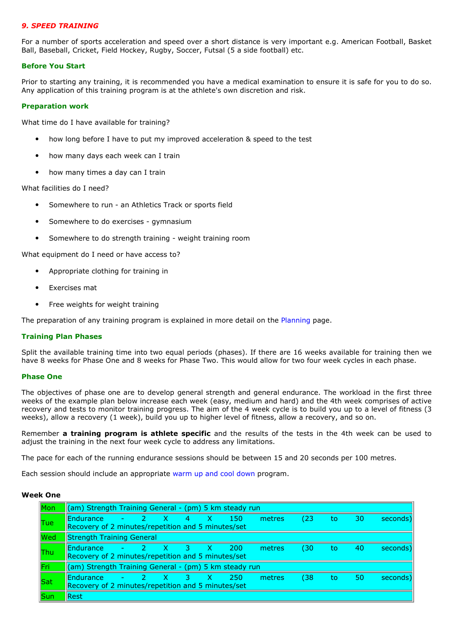## *9. SPEED TRAINING*

For a number of sports acceleration and speed over a short distance is very important e.g. American Football, Basket Ball, Baseball, Cricket, Field Hockey, Rugby, Soccer, Futsal (5 a side football) etc.

#### **Before You Start**

Prior to starting any training, it is recommended you have a medical examination to ensure it is safe for you to do so. Any application of this training program is at the athlete's own discretion and risk.

#### **Preparation work**

What time do I have available for training?

- how long before I have to put my improved acceleration & speed to the test
- how many days each week can I train
- how many times a day can I train

What facilities do I need?

- Somewhere to run an Athletics Track or sports field
- Somewhere to do exercises gymnasium
- Somewhere to do strength training weight training room

What equipment do I need or have access to?

- Appropriate clothing for training in
- Exercises mat
- Free weights for weight training

The preparation of any training program is explained in more detail on the Planning page.

#### **Training Plan Phases**

Split the available training time into two equal periods (phases). If there are 16 weeks available for training then we have 8 weeks for Phase One and 8 weeks for Phase Two. This would allow for two four week cycles in each phase.

#### **Phase One**

The objectives of phase one are to develop general strength and general endurance. The workload in the first three weeks of the example plan below increase each week (easy, medium and hard) and the 4th week comprises of active recovery and tests to monitor training progress. The aim of the 4 week cycle is to build you up to a level of fitness (3 weeks), allow a recovery (1 week), build you up to higher level of fitness, allow a recovery, and so on.

Remember **a training program is athlete specific** and the results of the tests in the 4th week can be used to adjust the training in the next four week cycle to address any limitations.

The pace for each of the running endurance sessions should be between 15 and 20 seconds per 100 metres.

Each session should include an appropriate warm up and cool down program.

#### **Week One**

| <b>Mon</b>      | (am) Strength Training General - (pm) 5 km steady run |        |       |               |       |        |      |     |    |          |
|-----------------|-------------------------------------------------------|--------|-------|---------------|-------|--------|------|-----|----|----------|
|                 | <b>Endurance</b>                                      | $-2$ X | $4 -$ | $-{\sf X}$    | 150   | metres | (23) | to. | 30 | seconds) |
| $ $ Tue         | Recovery of 2 minutes/repetition and 5 minutes/set    |        |       |               |       |        |      |     |    |          |
| $\blacksquare$  | Strength Training General                             |        |       |               |       |        |      |     |    |          |
|                 | Endurance                                             | $-2$ X |       | $3 \times 1$  | -200- | metres | (30) | to7 | 40 | seconds) |
| $\mathsf{T}$ hu | Recovery of 2 minutes/repetition and 5 minutes/set    |        |       |               |       |        |      |     |    |          |
| <b>Fri</b>      | (am) Strength Training General - (pm) 5 km steady run |        |       |               |       |        |      |     |    |          |
|                 | <b>Endurance</b>                                      | $-2$ X | $-3$  | $\rightarrow$ | 250   | metres | (38) | to. | 50 | seconds) |
| Sat             | Recovery of 2 minutes/repetition and 5 minutes/set    |        |       |               |       |        |      |     |    |          |
| <b>Sun</b>      | Rest                                                  |        |       |               |       |        |      |     |    |          |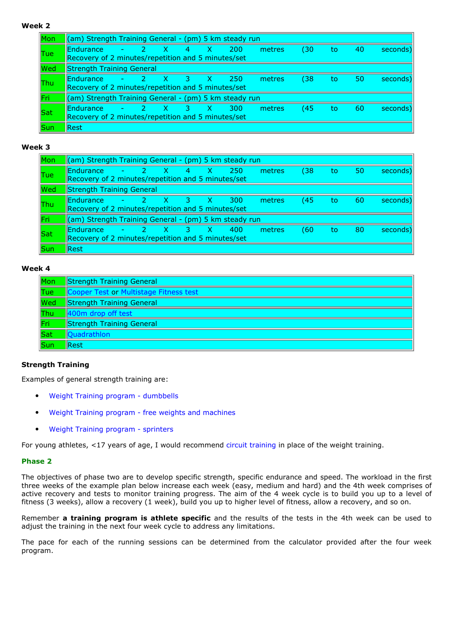# **Week 2**

| Mon         | (am) Strength Training General - (pm) 5 km steady run           |      |                      |                |               |       |        |      |    |    |          |
|-------------|-----------------------------------------------------------------|------|----------------------|----------------|---------------|-------|--------|------|----|----|----------|
| <b>Tue</b>  | Endurance<br>Recovery of 2 minutes/repetition and 5 minutes/set |      | <b>XZ</b>            | $4 \quad$      | X.            | 200   | metres | (30) | to | 40 | seconds) |
| Wed         | Strength Training General                                       |      |                      |                |               |       |        |      |    |    |          |
| llThu       | Endurance<br>Recovery of 2 minutes/repetition and 5 minutes/set | $-2$ | <b>X7</b>            | $\overline{3}$ | $\rightarrow$ | -250- | metres | (38) | to | 50 | seconds) |
| lFri:       | (am) Strength Training General - (pm) 5 km steady run           |      |                      |                |               |       |        |      |    |    |          |
| $\vert$ Sat | Endurance<br>Recovery of 2 minutes/repetition and 5 minutes/set |      | <b>ANDREW STREET</b> | $\mathbf{3}$   | $\rightarrow$ | 300   | metres | (45) | to | 60 | seconds) |
| <b>Sun</b>  | Rest                                                            |      |                      |                |               |       |        |      |    |    |          |

# **Week 3**

| lMon                                       | (am) Strength Training General - (pm) 5 km steady run                  |      |      |          |              |            |        |      |     |    |          |
|--------------------------------------------|------------------------------------------------------------------------|------|------|----------|--------------|------------|--------|------|-----|----|----------|
| Tue                                        | Endurance<br>Recovery of 2 minutes/repetition and 5 minutes/set        |      | x    | $4 -$    | - X          | -250.      | metres | (38) | to  | 50 | seconds) |
| $\mathsf{I}\mathsf{W}\mathsf{e}\mathsf{d}$ | <b>Strength Training General</b>                                       |      |      |          |              |            |        |      |     |    |          |
| llThu                                      | <b>Fndurance</b><br>Recovery of 2 minutes/repetition and 5 minutes/set | $-2$ | / X7 |          | $3 \times X$ | <b>300</b> | metres | (45- | to. | 60 | seconds) |
| Fri                                        | (am) Strength Training General - (pm) 5 km steady run                  |      |      |          |              |            |        |      |     |    |          |
| $\sf\ Sat$                                 | <b>Fndurance</b><br>Recovery of 2 minutes/repetition and 5 minutes/set |      | -X   | <b>B</b> | $\mathbf{X}$ | 400        | metres | (60) | to. | 80 | seconds) |
| <b>Sun</b>                                 | Rest                                                                   |      |      |          |              |            |        |      |     |    |          |

## **Week 4**

| $\ $ Mon                             | <b>Strength Training General</b>       |
|--------------------------------------|----------------------------------------|
| $ $ Tue                              | Cooper Test or Multistage Fitness test |
| $\sqrt{\mathsf{Wed}}$                | <b>Strength Training General</b>       |
| $ $ Thu                              | 400m drop off test                     |
| Fri                                  | <b>Strength Training General</b>       |
| $\left\  \mathsf{Sat}\right\ $       | Quadrathlon                            |
| $\left\Vert \mathsf{Sun}\right\Vert$ | <b>Rest</b>                            |

# **Strength Training**

Examples of general strength training are:

- Weight Training program dumbbells
- Weight Training program free weights and machines
- Weight Training program sprinters

For young athletes, <17 years of age, I would recommend circuit training in place of the weight training.

## **Phase 2**

The objectives of phase two are to develop specific strength, specific endurance and speed. The workload in the first three weeks of the example plan below increase each week (easy, medium and hard) and the 4th week comprises of active recovery and tests to monitor training progress. The aim of the 4 week cycle is to build you up to a level of fitness (3 weeks), allow a recovery (1 week), build you up to higher level of fitness, allow a recovery, and so on.

Remember **a training program is athlete specific** and the results of the tests in the 4th week can be used to adjust the training in the next four week cycle to address any limitations.

The pace for each of the running sessions can be determined from the calculator provided after the four week program.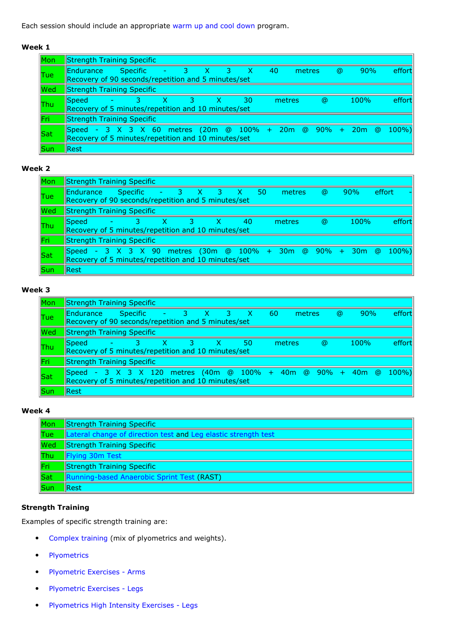Each session should include an appropriate warm up and cool down program.

# **Week 1**

| Mon                                        | <b>Strength Training Specific</b>                                                                                      |            |       |            |    |        |          |          |         |        |
|--------------------------------------------|------------------------------------------------------------------------------------------------------------------------|------------|-------|------------|----|--------|----------|----------|---------|--------|
| $\ $ Tue                                   | Endurance<br>$-23$<br><b>Specific</b><br>Recovery of 90 seconds/repetition and 5 minutes/set                           | $- X$      | - 3 - | $-{\sf X}$ | 40 |        | metres   | $\omega$ | 90%     | effort |
| $\mathsf{I}\mathsf{W}\mathsf{e}\mathsf{d}$ | <b>Strength Training Specific</b>                                                                                      |            |       |            |    |        |          |          |         |        |
| $ $ Thu                                    | <b>S</b> peed<br>Recovery of 5 minutes/repetition and 10 minutes/set                                                   | <b>437</b> | X.    | 30         |    | metres | $\omega$ |          | $100\%$ | effort |
| ∥Fri∶                                      | <b>Strength Training Specific</b>                                                                                      |            |       |            |    |        |          |          |         |        |
| $\vert$ Sat                                | Speed - 3 X 3 X 60 metres (20m @ 100% + 20m @ 90% + 20m @ 100%)<br>Recovery of 5 minutes/repetition and 10 minutes/set |            |       |            |    |        |          |          |         |        |
| $\sf ISun$                                 | <b>Rest</b>                                                                                                            |            |       |            |    |        |          |          |         |        |

## **Week 2**

| Mon                                        | <b>Strength Training Specific</b>                                                                                      |       |                    |    |    |    |        |          |      |        |        |
|--------------------------------------------|------------------------------------------------------------------------------------------------------------------------|-------|--------------------|----|----|----|--------|----------|------|--------|--------|
| $ $ Tue                                    | <b>Endurance</b><br>Recovery of 90 seconds/repetition and 5 minutes/set                                                |       | Specific - 3 X 3 X |    |    | 50 | metres | $\omega$ | 90%  | effort |        |
| $\mathsf{I}\mathsf{W}\mathsf{e}\mathsf{d}$ | <b>Strength Training Specific</b>                                                                                      |       |                    |    |    |    |        |          |      |        |        |
| <b>Thu</b>                                 | <b>S</b> peed<br>Recovery of 5 minutes/repetition and 10 minutes/set                                                   | $-3-$ | 3                  | X. | 40 |    | metres | $\omega$ | 100% |        | effort |
| $\Vert$ Fri                                | <b>Strength Training Specific</b>                                                                                      |       |                    |    |    |    |        |          |      |        |        |
| $\sf\ Sat$                                 | Speed - 3 X 3 X 90 metres (30m @ 100% + 30m @ 90% + 30m @ 100%)<br>Recovery of 5 minutes/repetition and 10 minutes/set |       |                    |    |    |    |        |          |      |        |        |
| <b>Sun</b>                                 | Rest                                                                                                                   |       |                    |    |    |    |        |          |      |        |        |

# **Week 3**

| Mon                                        | <b>Strength Training Specific</b>                                                                                       |               |    |              |       |                         |    |     |        |        |          |          |         |        |
|--------------------------------------------|-------------------------------------------------------------------------------------------------------------------------|---------------|----|--------------|-------|-------------------------|----|-----|--------|--------|----------|----------|---------|--------|
| Tue                                        | <b>Endurance</b><br>Recovery of 90 seconds/repetition and 5 minutes/set                                                 |               |    | Specific - 3 | $- x$ | $\overline{\mathbf{3}}$ | X. | -60 |        | metres |          | $\omega$ | 90%     | effort |
| $\mathsf{I}\mathsf{W}\mathsf{e}\mathsf{d}$ | <b>Strength Training Specific</b>                                                                                       |               |    |              |       |                         |    |     |        |        |          |          |         |        |
| <b>Thu</b>                                 | <b>Speed</b><br>Recovery of 5 minutes/repetition and 10 minutes/set                                                     | <b>AND 37</b> | X. | -3.          | - X - |                         | 50 |     | metres |        | $\omega$ |          | $100\%$ | effort |
| <b>Fri</b>                                 | <b>Strength Training Specific</b>                                                                                       |               |    |              |       |                         |    |     |        |        |          |          |         |        |
| $\vert$ Sat                                | Speed - 3 X 3 X 120 metres (40m @ 100% + 40m @ 90% + 40m @ 100%)<br>Recovery of 5 minutes/repetition and 10 minutes/set |               |    |              |       |                         |    |     |        |        |          |          |         |        |
| <b>Sun</b>                                 | <b>Rest</b>                                                                                                             |               |    |              |       |                         |    |     |        |        |          |          |         |        |

# **Week 4**

| Mon                   | <b>Strength Training Specific</b>                              |
|-----------------------|----------------------------------------------------------------|
| $ $ Tue               | Lateral change of direction test and Leg elastic strength test |
| <b>Wed</b>            | <b>Strength Training Specific</b>                              |
| <b>Thu</b>            | Flying 30m Test                                                |
| $\Vert$ Fri           | <b>Strength Training Specific</b>                              |
| $\sqrt{\mathsf{Sat}}$ | Running-based Anaerobic Sprint Test (RAST)                     |
| Sun                   | <b>Rest</b>                                                    |

# **Strength Training**

Examples of specific strength training are:

- Complex training (mix of plyometrics and weights).
- Plyometrics
- Plyometric Exercises Arms
- Plyometric Exercises Legs
- Plyometrics High Intensity Exercises Legs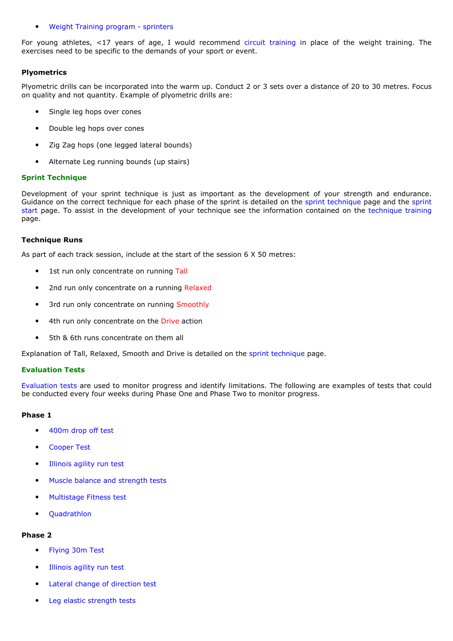#### • Weight Training program - sprinters

For young athletes, <17 years of age, I would recommend circuit training in place of the weight training. The exercises need to be specific to the demands of your sport or event.

## **Plyometrics**

Plyometric drills can be incorporated into the warm up. Conduct 2 or 3 sets over a distance of 20 to 30 metres. Focus on quality and not quantity. Example of plyometric drills are:

- Single leg hops over cones
- Double leg hops over cones
- Zig Zag hops (one legged lateral bounds)
- Alternate Leg running bounds (up stairs)

## **Sprint Technique**

Development of your sprint technique is just as important as the development of your strength and endurance. Guidance on the correct technique for each phase of the sprint is detailed on the sprint technique page and the sprint start page. To assist in the development of your technique see the information contained on the technique training page.

## **Technique Runs**

As part of each track session, include at the start of the session 6 X 50 metres:

- 1st run only concentrate on running Tall
- 2nd run only concentrate on a running Relaxed
- 3rd run only concentrate on running Smoothly
- 4th run only concentrate on the Drive action
- 5th & 6th runs concentrate on them all

Explanation of Tall, Relaxed, Smooth and Drive is detailed on the sprint technique page.

## **Evaluation Tests**

Evaluation tests are used to monitor progress and identify limitations. The following are examples of tests that could be conducted every four weeks during Phase One and Phase Two to monitor progress.

## **Phase 1**

- 400m drop off test
- **Cooper Test**
- Illinois agility run test
- Muscle balance and strength tests
- Multistage Fitness test
- Quadrathlon

## **Phase 2**

- Flying 30m Test
- Illinois agility run test
- Lateral change of direction test
- Leg elastic strength tests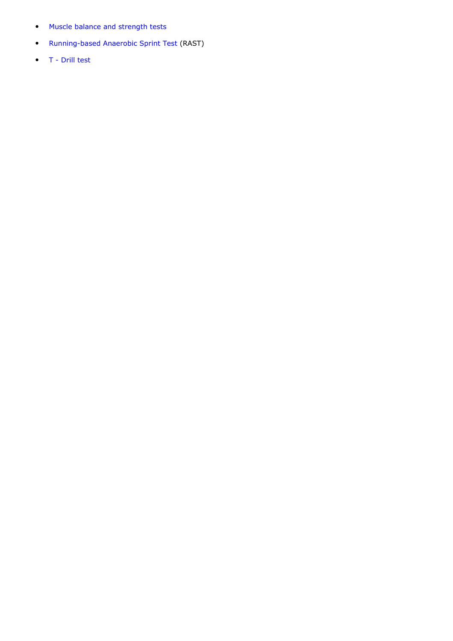- Muscle balance and strength tests
- Running-based Anaerobic Sprint Test (RAST)
- T Drill test